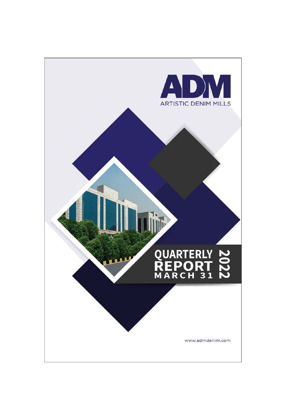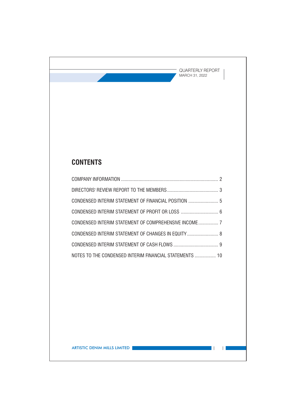$\mathcal{L}(\mathcal{A})$ 

 $\Box$ 

# **CONTENTS**

| CONDENSED INTERIM STATEMENT OF FINANCIAL POSITION  5    |  |
|---------------------------------------------------------|--|
|                                                         |  |
|                                                         |  |
| CONDENSED INTERIM STATEMENT OF CHANGES IN EQUITY  8     |  |
|                                                         |  |
| NOTES TO THE CONDENSED INTERIM FINANCIAL STATEMENTS  10 |  |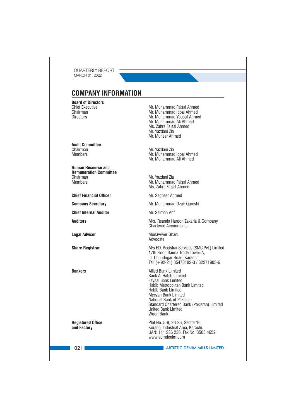# **COMPANY INFORMATION**

**Board of Directors Chief Executive** Chairman **Directors** 

**Audit Committee** Chairman **Members** 

**Human Resource and Remuneration Committee** Chairman **Members** 

**Chief Financial Officer** 

**Company Secretary** 

**Chief Internal Auditor** 

**Auditors** 

**Legal Advisor** 

**Share Registrar** 

**Rankers** 

**Registered Office** and Factory

Mr. Muhammad Faisal Ahmed Mr. Muhammad Iqbal Ahmed Mr. Muhammad Yousuf Ahmed Mr. Muhammad Ali Ahmed Ms. Zahra Faisal Ahmed Mr. Yazdani Zia Mr. Muneer Ahmed

Mr. Yazdani Zia Mr. Muhammad Iqbal Ahmed Mr. Muhammad Ali Ahmed

Mr. Yazdani Zia Mr. Muhammad Faisal Ahmed Ms. Zahra Faisal Ahmed

Mr. Sagheer Ahmed

Mr. Muhammad Ozair Qureshi

Mr. Salman Arif

M/s. Reanda Haroon Zakaria & Company Chartered Accountants

Monawwer Ghani Advocate

M/s F.D. Registrar Services (SMC Pvt.) Limited 17th Floor, Saima Trade Tower-A, I.I. Chundrigar Road, Karachi. Tel: (+92-21) 35478192-3 / 32271905-6

**Allied Bank Limited Bank AI Habib Limited Favsal Bank Limited** Habib Metropolitan Bank Limited Habib Bank Limited Meezan Bank Limited National Bank of Pakistan Standard Chartered Bank (Pakistan) Limited **United Bank Limited** Woori Bank

Plot No. 5-9, 23-26, Sector 16, Korangi Industrial Area, Karachi. UAN: 111 236 236, Fax No. 3505 4652 www.admdenim.com

 $1021$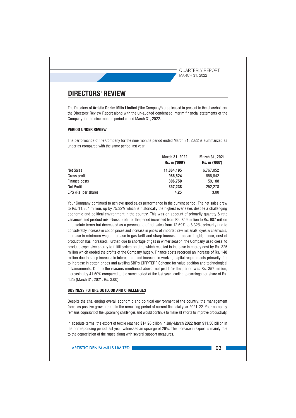# **DIRECTORS' REVIEW**

The Directors of Artistic Denim Mills Limited ("the Company") are pleased to present to the shareholders the Directors' Review Report along with the un-audited condensed interim financial statements of the Company for the nine months period ended March 31, 2022.

## **PERIOD UNDER REVIEW**

The performance of the Company for the nine months period ended March 31, 2022 is summarized as under as compared with the same period last year:

|                     | March 31, 2022 | <b>March 31, 2021</b> |
|---------------------|----------------|-----------------------|
|                     | Rs. in ('000') | Rs. in ('000')        |
| Net Sales           | 11.864.195     | 6,767,052             |
| Gross profit        | 986.524        | 858.842               |
| Finance costs       | 306.750        | 159.188               |
| Net Profit          | 357,238        | 252,278               |
| EPS (Rs. per share) | 4.25           | 3.00                  |
|                     |                |                       |

Your Company continued to achieve good sales performance in the current period. The net sales grew to Rs. 11,864 million, up by 75.32% which is historically the highest ever sales despite a challenging economic and political environment in the country. This was on account of primarily quantity & rate variances and product mix. Gross profit for the period increased from Rs. 859 million to Rs. 987 million in absolute terms but decreased as a percentage of net sales from 12.69% to 8.32%, primarily due to considerably increase in cotton prices and increase in prices of imported raw materials, dyes & chemicals, increase in minimum wage, increase in gas tariff and sharp increase in ocean freight; hence, cost of production has increased. Further, due to shortage of gas in winter season, the Company used diesel to produce expensive energy to fulfill orders on time which resulted in increase in energy cost by Rs. 325 million which eroded the profits of the Company hugely. Finance costs recorded an increase of Rs. 148 million due to steep increase in interest rate and increase in working capital requirements primarily due to increase in cotton prices and availing SBP's LTFF/TERF Scheme for value addition and technological advancements. Due to the reasons mentioned above, net profit for the period was Rs. 357 million, increasing by 41.60% compared to the same period of the last year, leading to earnings per share of Rs. 4.25 (March 31, 2021: Rs. 3.00).

## **BUSINESS FUTURE OUTLOOK AND CHALLENGES**

Despite the challenging overall economic and political environment of the country, the management foresees positive growth trend in the remaining period of current financial year 2021-22. Your company remains cognizant of the upcoming challenges and would continue to make all efforts to improve productivity.

In absolute terms, the export of textile reached \$14.26 billion in July-March 2022 from \$11.36 billion in the corresponding period last year, witnessed an upsurge of 26%. The increase in export is mainly due to the depreciation of the rupee along with several support measures.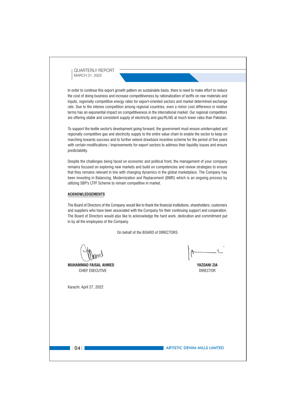In order to continue this export growth pattern on sustainable basis, there is need to make effort to reduce the cost of doing business and increase competitiveness by rationalization of tariffs on raw materials and inputs, regionally competitive energy rates for export-oriented sectors and market determined exchange rate. Due to the intense competition among regional countries, even a minor cost difference in relative terms has an exponential impact on competitiveness in the international market. Our regional competitors are offering stable and consistent supply of electricity and gas/RLNG at much lower rates than Pakistan.

To support the textile sector's development going forward, the government must ensure uninterrupted and regionally competitive gas and electricity supply to the entire value chain to enable the sector to keep on marching towards success and to further extend drawback incentive scheme for the period of five years with certain modifications / improvements for export sectors to address their liquidity issues and ensure predictability.

Despite the challenges being faced on economic and political front, the management of your company remains focused on exploring new markets and build on competencies and review strategies to ensure that they remains relevant in line with changing dynamics in the global marketplace. The Company has been investing in Balancing, Modernization and Replacement (BMR) which is an ongoing process by utilizing SBP's LTFF Scheme to remain competitive in market.

## **ACKNOWLEDGEMENTS**

The Board of Directors of the Company would like to thank the financial institutions, shareholders, customers and suppliers who have been associated with the Company for their continuing support and cooperation. The Board of Directors would also like to acknowledge the hard work, dedication and commitment put in by all the employees of the Company.

On behalf of the BOARD of DIRECTORS

**MUHAMMAD FAISAL AHMED** CHIEF EXECUTIVE

Karachi: April 27, 2022

**YAZDANI ZIA DIRECTOR** 

 $|104|$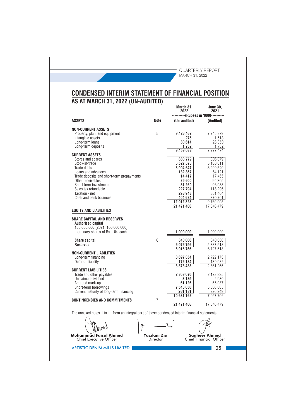|                                                                                                                                                                                                                                                                   |      | CONDENSED INTERIM STATEMENT OF FINANCIAL POSITION                                                                                                    |                                                                                                                                                    |
|-------------------------------------------------------------------------------------------------------------------------------------------------------------------------------------------------------------------------------------------------------------------|------|------------------------------------------------------------------------------------------------------------------------------------------------------|----------------------------------------------------------------------------------------------------------------------------------------------------|
| AS AT MARCH 31, 2022 (UN-AUDITED)                                                                                                                                                                                                                                 |      | March 31,<br>2022                                                                                                                                    | <b>June 30.</b><br>2021                                                                                                                            |
| <b>ASSETS</b>                                                                                                                                                                                                                                                     | Note | (Un-audited)                                                                                                                                         | ------(Rupees in '000)----------<br>(Audited)                                                                                                      |
| NON-CURRENT ASSETS<br>Property, plant and equipment<br>Intangible assets<br>Long-term loans<br>Long-term deposits                                                                                                                                                 | 5    | 9,426,462<br>275<br>30,614<br>1,732                                                                                                                  | 7,745,879<br>1,513<br>28,350<br>1,732                                                                                                              |
| <b>CURRENT ASSETS</b><br>Stores and spares<br>Stock-in-trade<br>Trade debts<br>Loans and advances<br>Trade deposits and short-term prepayments<br>Other receivables<br>Short-term investments<br>Sales tax refundable<br>Taxation - net<br>Cash and bank balances |      | 9,459,083<br>330,779<br>6,527,878<br>3,904,647<br>132,357<br>14,417<br>89,600<br>81,269<br>227,794<br>298,948<br>404.634<br>12,012,323<br>21,471,406 | 7,777,474<br>306,079<br>5,100,011<br>3,299,540<br>64,121<br>17,455<br>95,305<br>96,033<br>118,296<br>301,464<br>370,701<br>9,769,005<br>17,546,479 |
| <b>EQUITY AND LIABILITIES</b>                                                                                                                                                                                                                                     |      |                                                                                                                                                      |                                                                                                                                                    |
| <b><i>SHARE CAPITAL AND RESERVES</i></b><br><b>Authorised capital</b><br>100,000,000 (2021: 100,000,000)<br>ordinary shares of Rs. 10/- each                                                                                                                      |      | 1,000,000                                                                                                                                            | 1,000,000                                                                                                                                          |
| <b>Share capital</b><br><b>Reserves</b>                                                                                                                                                                                                                           | 6    | 840,000<br>6,076,756<br>6,916,756                                                                                                                    | 840,000<br>5,887,518                                                                                                                               |
| <b>NON-CURRENT LIABILITIES</b><br>Long-term financing<br>Deferred liability                                                                                                                                                                                       |      | 3,697,354<br>176,134<br>3,873,488                                                                                                                    | 6,727,518<br>2.722.173<br>139,082<br>2,861,255                                                                                                     |
| <b>CURRENT LIABILITIES</b><br>Trade and other payables<br>Unclaimed dividend<br>Accrued mark-up<br>Short-term borrowings<br>Current maturity of long-term financing                                                                                               |      | 2.809.070<br>3,135<br>61,126<br>7,546,650<br>261.181                                                                                                 | 2,178,835<br>2,930<br>55,087<br>5,500,605<br>220.249                                                                                               |
| <b>CONTINGENCIES AND COMMITMENTS</b>                                                                                                                                                                                                                              | 7    | 10,681,162<br>21,471,406                                                                                                                             | 7,957,706<br>17,546,479                                                                                                                            |
| The annexed notes 1 to 11 form an integral part of these condensed interim financial statements.                                                                                                                                                                  |      |                                                                                                                                                      |                                                                                                                                                    |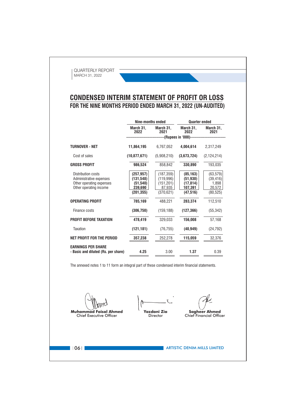# **CONDENSED INTERIM STATEMENT OF PROFIT OR LOSS** FOR THE NINE MONTHS PERIOD ENDED MARCH 31, 2022 (UN-AUDITED)

|                                                                                                     | Nine-months ended                                              |                                                               | <b>Quarter ended</b>                                        |                                                        |
|-----------------------------------------------------------------------------------------------------|----------------------------------------------------------------|---------------------------------------------------------------|-------------------------------------------------------------|--------------------------------------------------------|
|                                                                                                     | March 31,<br>2022                                              | March 31,<br>2021                                             | March 31,<br>2022                                           | March 31,<br>2021                                      |
|                                                                                                     |                                                                | -------------------(Rupees in '000)------------------         |                                                             |                                                        |
| <b>TURNOVER - NET</b>                                                                               | 11,864,195                                                     | 6.767.052                                                     | 4.004.614                                                   | 2,317,249                                              |
| Cost of sales                                                                                       | (10, 877, 671)                                                 | (5,908,210)                                                   | (3,673,724)                                                 | (2, 124, 214)                                          |
| <b>GROSS PROFIT</b>                                                                                 | 986,524                                                        | 858,842                                                       | 330,890                                                     | 193,035                                                |
| Distribution costs<br>Administrative expenses<br>Other operating expenses<br>Other operating income | (257, 957)<br>(131, 548)<br>(51, 540)<br>239,690<br>(201, 355) | (187, 359)<br>(119,996)<br>(151, 201)<br>87,935<br>(370, 621) | (85, 163)<br>(51, 930)<br>(17, 814)<br>107,391<br>(47, 516) | (63, 579)<br>(39, 416)<br>1,898<br>20,572<br>(80, 525) |
| <b>OPERATING PROFIT</b>                                                                             | 785,169                                                        | 488,221                                                       | 283,374                                                     | 112,510                                                |
| Finance costs                                                                                       | (306, 750)                                                     | (159, 188)                                                    | (127, 366)                                                  | (55, 342)                                              |
| <b>PROFIT BEFORE TAXATION</b>                                                                       | 478,419                                                        | 329,033                                                       | 156,008                                                     | 57,168                                                 |
| <b>Taxation</b>                                                                                     | (121, 181)                                                     | (76, 755)                                                     | (40, 949)                                                   | (24, 792)                                              |
| NET PROFIT FOR THE PERIOD                                                                           | 357,238                                                        | 252,278                                                       | 115,059                                                     | 32,376                                                 |
| <b>EARNINGS PER SHARE</b><br>- Basic and diluted (Rs. per share)                                    | 4.25                                                           | 3.00                                                          | 1.37                                                        | 0.39                                                   |

The annexed notes 1 to 11 form an integral part of these condensed interim financial statements.

**Muhammad Faisal Ahmed** Chief Executive Officer

**Yazdani Zia** Director

**Sagheer Ahmed** 

Chief Financial Officer

 $106$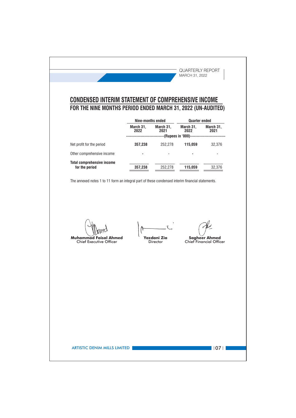QUARTERLY REPORT MARCH 31, 2022 **CONDENSED INTERIM STATEMENT OF COMPREHENSIVE INCOME** FOR THE NINE MONTHS PERIOD ENDED MARCH 31, 2022 (UN-AUDITED) Nine-months ended **Quarter ended** March 31, March 31, March 31, March 31, 2022 2021 2022 2021 ------(Rupees in '000)------------------Net profit for the period 252,278 357,238 115,059 32,376 Other comprehensive income  $\overline{a}$  $\ddot{\phantom{a}}$ l,  $\overline{a}$ **Total comprehensive income** 252,278 32,376 for the period 357,238 115,059 The annexed notes 1 to 11 form an integral part of these condensed interim financial statements. **Muhammad Faisal Ahmed** Yazdani Zia **Sagheer Ahmed** Chief Executive Officer Director Chief Financial Officer **ARTISTIC DENIM MILLS LIMITED**  $\blacksquare$  107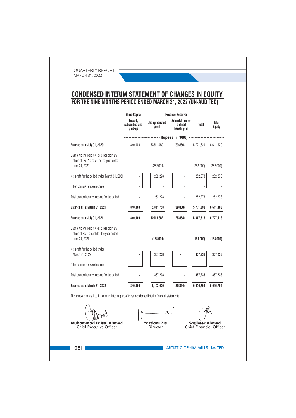# **CONDENSED INTERIM STATEMENT OF CHANGES IN EQUITY**<br>FOR THE NINE MONTHS PERIOD ENDED MARCH 31, 2022 (UN-AUDITED)

|                                                                                                  | <b>Share Capital</b>                 |                                 | <b>Revenue Reserves</b>                             |                                                        |                        |
|--------------------------------------------------------------------------------------------------|--------------------------------------|---------------------------------|-----------------------------------------------------|--------------------------------------------------------|------------------------|
|                                                                                                  | Issued,<br>subscribed and<br>paid-up | <b>Unappropriated</b><br>profit | <b>Actuarial loss on</b><br>defined<br>benefit plan | Total                                                  | Total<br><b>Equity</b> |
|                                                                                                  |                                      |                                 | ----- (Rupees in '000) -----------                  |                                                        |                        |
| Balance as at July 01, 2020                                                                      | 840,000                              | 5,811,480                       | (39, 860)                                           | 5,771,620                                              | 6,611,620              |
| Cash dividend paid $@$ Rs. 3 per ordinary                                                        |                                      |                                 |                                                     |                                                        |                        |
| share of Rs. 10 each for the year ended<br>June 30, 2020                                         |                                      | (252,000)                       |                                                     | (252,000)                                              | (252,000)              |
| Net profit for the period ended March 31, 2021                                                   |                                      | 252,278                         |                                                     | 252,278                                                | 252,278                |
|                                                                                                  |                                      |                                 |                                                     |                                                        |                        |
| Other comprehensive income                                                                       |                                      |                                 |                                                     |                                                        |                        |
| Total comprehensive income for the period                                                        |                                      | 252,278                         |                                                     | 252,278                                                | 252,278                |
| Balance as at March 31, 2021                                                                     | 840,000                              | 5,811,758                       | (39, 860)                                           | 5,771,898                                              | 6,611,898              |
| Balance as at July 01, 2021                                                                      | 840,000                              | 5,913,382                       | (25, 864)                                           | 5,887,518                                              | 6,727,518              |
| Cash dividend paid @ Rs. 2 per ordinary                                                          |                                      |                                 |                                                     |                                                        |                        |
| share of Rs. 10 each for the year ended<br>June 30, 2021                                         |                                      | (168,000)                       |                                                     | (168,000)                                              | (168,000)              |
| Net profit for the period ended                                                                  |                                      |                                 |                                                     |                                                        |                        |
| March 31, 2022                                                                                   |                                      | 357,238                         |                                                     | 357,238                                                | 357,238                |
| Other comprehensive income                                                                       |                                      |                                 |                                                     |                                                        |                        |
| Total comprehensive income for the period                                                        |                                      | 357,238                         |                                                     | 357,238                                                | 357,238                |
| Balance as at March 31, 2022                                                                     | 840,000                              | 6,102,620                       | (25, 864)                                           | 6,076,756                                              | 6,916,756              |
| The annexed notes 1 to 11 form an integral part of these condensed interim financial statements. |                                      |                                 |                                                     |                                                        |                        |
|                                                                                                  |                                      |                                 |                                                     |                                                        |                        |
|                                                                                                  |                                      |                                 |                                                     |                                                        |                        |
| <b>Muhammad Faisal Ahmed</b><br><b>Chief Executive Officer</b>                                   |                                      | Yazdani Zia<br>Director         |                                                     | <b>Sagheer Ahmed</b><br><b>Chief Financial Officer</b> |                        |
|                                                                                                  |                                      |                                 |                                                     |                                                        |                        |
|                                                                                                  |                                      |                                 |                                                     |                                                        |                        |
| 08                                                                                               |                                      |                                 | <b>ARTISTIC DENIM MILLS LIMITED</b>                 |                                                        |                        |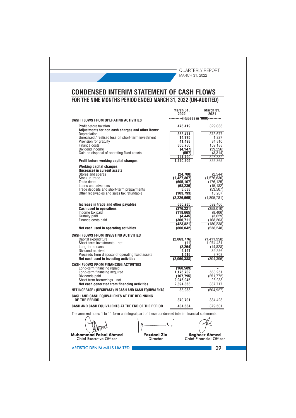| <b>CONDENSED INTERIM STATEMENT OF CASH FLOWS</b>                                                       |                                      |                         |
|--------------------------------------------------------------------------------------------------------|--------------------------------------|-------------------------|
| FOR THE NINE MONTHS PERIOD ENDED MARCH 31, 2022 (UN-AUDITED)                                           |                                      |                         |
|                                                                                                        | March 31,<br>2022                    | March 31,<br>2021       |
| <b>CASH FLOWS FROM OPERATING ACTIVITIES</b>                                                            | ----------(Rupees in '000)---------- |                         |
| Profit before taxation<br>Adjustments for non cash charges and other items:                            | 478,419                              | 329,033                 |
| Depreciation<br>Unrealised / realised loss on short-term investment                                    | 383,471<br>14,775                    | 373,677<br>1,227        |
| Provision for gratuity                                                                                 | 41,498                               | 34,810                  |
| Finance costs<br>Dividend income                                                                       | 306,750<br>(4, 147)                  | 159,188<br>(39, 256)    |
| Gain on disposal of operating fixed assets                                                             | (557)<br>741.790                     | (3,314)<br>526,332      |
| Profit before working capital changes                                                                  | 1,220,209                            | 855,365                 |
| <b>Working capital changes</b><br>(Increase) in current assets                                         |                                      |                         |
| Stores and spares<br>Stock-in-trade                                                                    | (24, 700)<br>(1, 427, 867)           | (2, 544)<br>(1,576,630) |
| Trade debts<br>Loans and advances                                                                      | (605, 107)<br>(68, 236)              | (176, 125)<br>(15,182)  |
| Trade deposits and short-term prepayments<br>Other receivables and sales tax refundable                | 3,038                                | (53, 507)               |
|                                                                                                        | (103,793)<br>(2, 226, 665)           | 18,207<br>(1,805,781)   |
| Increase in trade and other payables                                                                   | 630,235                              | 592,406                 |
| <b>Cash used in operations</b><br>Income tax paid                                                      | (376,221)<br>(118, 665)              | (358, 010)<br>(8, 406)  |
| Gratuity paid<br>Finance costs paid                                                                    | (4, 445)<br>(300, 711)               | (3,629)<br>(168, 203)   |
|                                                                                                        | (423,821)                            | (180,238)               |
| Net cash used in operating activities<br><b>CASH FLOWS FROM INVESTING ACTIVITIES</b>                   | (800, 042)                           | (538, 248)              |
| Capital expenditure                                                                                    | (2,063,776)                          | (1, 411, 958)           |
| Short-term investments - net<br>Long-term loans                                                        | (11)<br>(2, 264)                     | 1,074,431<br>(14.828)   |
| Dividend received<br>Proceeds from disposal of operating fixed assets                                  | 4,147<br>1,516                       | 39.256<br>8,703         |
| Net cash used in investing activities                                                                  | (2,060,388)                          | (304, 396)              |
| <b>CASH FLOWS FROM FINANCING ACTIVITIES</b><br>Long-term financing repaid                              | (160,589)                            |                         |
| Long-term financing acquired<br>Dividends paid                                                         | 1,176,702<br>(167, 795)              | 563,251<br>(251, 772)   |
| Short term borrowings - net                                                                            | 2,046,045                            | 26,238                  |
| Net cash generated from financing activities<br>NET INCREASE / (DECREASE) IN CASH AND CASH EQUIVALENTS | 2,894,363<br>33,933                  | 337,717<br>(504, 927)   |
| CASH AND CASH EQUIVALENTS AT THE BEGINNING                                                             |                                      |                         |
| OF THE PERIOD                                                                                          | 370,701                              | 884,428                 |
| CASH AND CASH EQUIVALENTS AT THE END OF THE PERIOD                                                     | 404,634                              | 379,501                 |
| The annexed notes 1 to 11 form an integral part of these condensed interim financial statements.       |                                      |                         |
|                                                                                                        |                                      |                         |
|                                                                                                        |                                      |                         |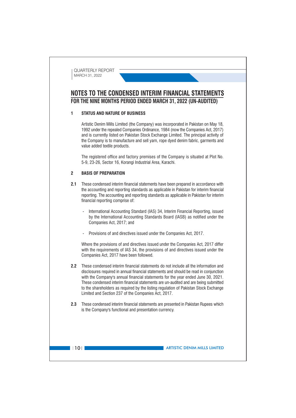# NOTES TO THE CONDENSED INTERIM FINANCIAL STATEMENTS FOR THE NINE MONTHS PERIOD ENDED MARCH 31, 2022 (UN-AUDITED)

#### **STATUS AND NATURE OF BUSINESS**  $\blacksquare$

Artistic Denim Mills Limited (the Company) was incorporated in Pakistan on May 18. 1992 under the repealed Companies Ordinance, 1984 (now the Companies Act. 2017) and is currently listed on Pakistan Stock Exchange Limited. The principal activity of the Company is to manufacture and sell yarn, rope dyed denim fabric, garments and value added textile products.

The registered office and factory premises of the Company is situated at Plot No. 5-9, 23-26, Sector 16, Korangi Industrial Area, Karachi.

#### $\overline{\mathbf{z}}$ **BASIS OF PREPARATION**

- 2.1 These condensed interim financial statements have been prepared in accordance with the accounting and reporting standards as applicable in Pakistan for interim financial reporting. The accounting and reporting standards as applicable in Pakistan for interim financial reporting comprise of:
	- International Accounting Standard (IAS) 34, Interim Financial Reporting, issued by the International Accounting Standards Board (IASB) as notified under the Companies Act, 2017; and
	- Provisions of and directives issued under the Companies Act. 2017.

Where the provisions of and directives issued under the Companies Act, 2017 differ with the requirements of IAS 34, the provisions of and directives issued under the Companies Act, 2017 have been followed.

- 2.2 These condensed interim financial statements do not include all the information and disclosures required in annual financial statements and should be read in conjunction with the Company's annual financial statements for the year ended June 30, 2021. These condensed interim financial statements are un-audited and are being submitted to the shareholders as required by the listing regulation of Pakistan Stock Exchange Limited and Section 237 of the Companies Act, 2017.
- 2.3 These condensed interim financial statements are presented in Pakistan Rupees which is the Company's functional and presentation currency.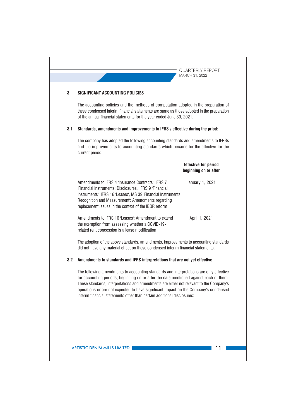**QUARTERLY REPORT** MARCH 31, 2022 3 **SIGNIFICANT ACCOUNTING POLICIES** The accounting policies and the methods of computation adopted in the preparation of these condensed interim financial statements are same as those adopted in the preparation of the annual financial statements for the year ended June 30, 2021. 3.1 Standards, amendments and improvements to IFRS's effective during the priod: The company has adopted the following accounting standards and amendments to IFRSs and the improvements to accounting standards which became for the effective for the current period: **Effective for period** beginning on or after Amendments to IFRS 4 'Insurance Contracts', IFRS 7 January 1, 2021 'Financial Instruments: Disclosures', IFRS 9 'Financial Instruments', IFRS 16 'Leases', IAS 39 'Financial Instruments: Recognition and Measurement: Amendments regarding replacement issues in the context of the IBOR reform Amendments to IFRS 16 'Leases': Amendment to extend April 1, 2021 the exemption from assessing whether a COVID-19related rent concession is a lease modification The adoption of the above standards, amendments, improvements to accounting standards did not have any material effect on these condensed interim financial statements. 3.2 Amendments to standards and IFRS interpretations that are not yet effective The following amendments to accounting standards and interpretations are only effective for accounting periods, beginning on or after the date mentioned against each of them. These standards, interpretations and amendments are either not relevant to the Company's operations or are not expected to have significant impact on the Company's condensed interim financial statements other than certain additional disclosures: **ARTISTIC DENIM MILLS LIMITED**  $\blacksquare$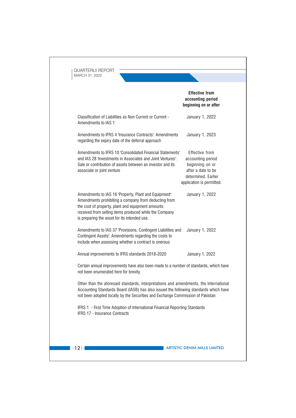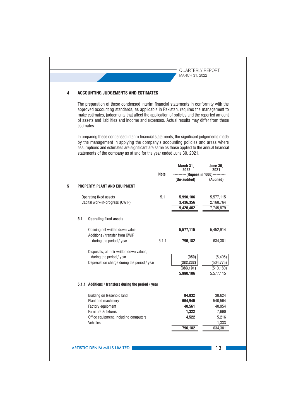#### **ACCOUNTING JUDGEMENTS AND ESTIMATES**  $\overline{4}$

The preparation of these condensed interim financial statements in conformity with the approved accounting standards, as applicable in Pakistan, requires the management to make estimates, judgements that affect the application of policies and the reported amount of assets and liabilities and income and expenses. Actual results may differ from these estimates.

In preparing these condensed interim financial statements, the significant judgements made by the management in applying the company's accounting policies and areas where assumptions and estimates are significant are same as those applied to the annual financial statements of the company as at and for the year ended June 30, 2021.

|     |                                                                  | Note  | March 31,<br>2022                                    | <b>June 30.</b><br>2021 |
|-----|------------------------------------------------------------------|-------|------------------------------------------------------|-------------------------|
|     |                                                                  |       | ----------(Rupees in '000)----------<br>(Un-audited) | (Audited)               |
|     | PROPERTY, PLANT AND EQUIPMENT                                    |       |                                                      |                         |
|     | Operating fixed assets                                           | 5.1   | 5,990,106                                            | 5,577,115               |
|     | Capital work-in-progress (CWIP)                                  |       | 3,436,356                                            | 2,168,764               |
|     |                                                                  |       | 9,426,462                                            | 7,745,879               |
| 5.1 | <b>Operating fixed assets</b>                                    |       |                                                      |                         |
|     | Opening net written down value<br>Additions / transfer from CWIP |       | 5,577,115                                            | 5,452,914               |
|     | during the period / year                                         | 5.1.1 | 796,182                                              | 634,381                 |
|     | Disposals, at their written down values,                         |       |                                                      |                         |
|     | during the period / year                                         |       | (959)                                                | (5, 405)                |
|     | Depreciation charge during the period / year                     |       | (382, 232)                                           | (504, 775)              |
|     |                                                                  |       | (383, 191)                                           | (510, 180)              |
|     |                                                                  |       | 5,990,106                                            | 5,577,115               |
|     | 5.1.1 Additions / transfers during the period / year             |       |                                                      |                         |
|     | Building on leasehold land                                       |       | 84,832                                               | 38,624                  |
|     | Plant and machinery                                              |       | 664,945                                              | 540,564                 |
|     | Factory equipment                                                |       | 40,561                                               | 40,954                  |
|     | Furniture & fixtures                                             |       | 1,322                                                | 7,690                   |
|     | Office equipment, including computers                            |       | 4,522                                                | 5,216                   |
|     | Vehicles                                                         |       |                                                      | 1,333                   |
|     |                                                                  |       | 796,182                                              | 634,381                 |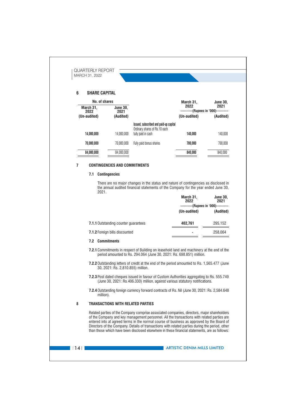

#### **CONTINGENCIES AND COMMITMENTS**  $\overline{7}$

## 7.1 Contingencies

There are no major changes in the status and nature of contingencies as disclosed in the annual audited financial statements of the Company for the year ended June 30, 2021. **March Od**  $1.1220$ 

|                                             | Marcii o I,<br>2022 | JUIIE JU,<br>2021                    |
|---------------------------------------------|---------------------|--------------------------------------|
|                                             |                     | ----------(Rupees in '000)---------- |
|                                             | (Un-audited)        | (Audited)                            |
|                                             |                     |                                      |
| <b>7.1.1 Outstanding counter quarantees</b> | 402,761             | 295,152                              |
|                                             |                     |                                      |
| <b>7.1.2 Foreign bills discounted</b>       |                     | 258.064                              |

## 7.2 Commitments

7.2.1 Commitments in respect of Building on leasehold land and machinery at the end of the period amounted to Rs. 294.064 (June 30, 2021: Rs. 698.851) million.

7.2.2 Outstanding letters of credit at the end of the period amounted to Rs. 1,565.477 (June 30, 2021: Rs. 2,810.855) million.

7.2.3 Post dated cheques issued in favour of Custom Authorities aggregating to Rs. 555.749 (June 30, 2021: Rs.406.330) million, against various statutory notifications.

7.2.4 Outstanding foreign currency forward contracts of Rs. Nil (June 30, 2021: Rs. 2,584.648 million).

#### 8 **TRANSACTIONS WITH RELATED PARTIES**

Related parties of the Company comprise associated companies, directors, major shareholders of the Company and key management personnel. All the transactions with related parties are entered into at agreed terms in the normal course of business as approved by the Board of Directors of the Company. Details of transactions with related parties during the period, other than those which have been disclosed elsewhere in these financial statements, are as follows:

 $\vert$  | 14 |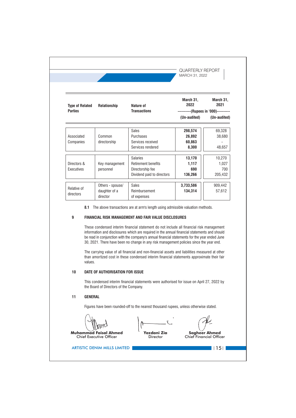| <b>Type of Related</b><br><b>Parties</b> | Relationship     | Nature of<br><b>Transactions</b> | March 31,<br>2022<br>----------(Rupees in '000)---------- | March 31,<br>2021 |
|------------------------------------------|------------------|----------------------------------|-----------------------------------------------------------|-------------------|
|                                          |                  |                                  | (Un-audited)                                              | (Un-audited)      |
|                                          |                  | <b>Sales</b>                     | 298,574                                                   | 69,328            |
| Associated                               | Common           | Purchases                        | 26,892                                                    | 38,680            |
| Companies                                | directorship     | Services received                | 60,863                                                    |                   |
|                                          |                  | Services rendered                | 8,300                                                     | 48,657            |
|                                          |                  | <b>Salaries</b>                  | 13,170                                                    | 10,270            |
| Directors &                              | Key management   | <b>Retirement benefits</b>       | 1,117                                                     | 1,027             |
| Executives                               | personnel        | Directorship fee                 | 690                                                       | 700               |
|                                          |                  | Dividend paid to directors       | 136,266                                                   | 205,432           |
|                                          | Others - spouse/ | <b>Sales</b>                     | 3,733,586                                                 | 909,442           |
| Relative of<br>directors                 | daughter of a    | Reimbursement                    | 134,314                                                   | 57,612            |
|                                          | director         | of expenses                      |                                                           |                   |

The carrying value of all financial and non-financial assets and liabilities measured at other than amortized cost in these condensed interim financial statements approximate their fair values.

#### $10$ DATE OF AUTHORISATION FOR ISSUE

This condensed interim financial statements were authorised for issue on April 27, 2022 by the Board of Directors of the Company.

#### **GENERAL**  $11$

Figures have been rounded-off to the nearest thousand rupees, unless otherwise stated.

**Muhammad Faisal Ahmed Chief Executive Officer** 

**Yazdani Zia** 

Director

**Sagheer Ahmed Chief Financial Officer** 

 $\blacksquare$  | 15 |